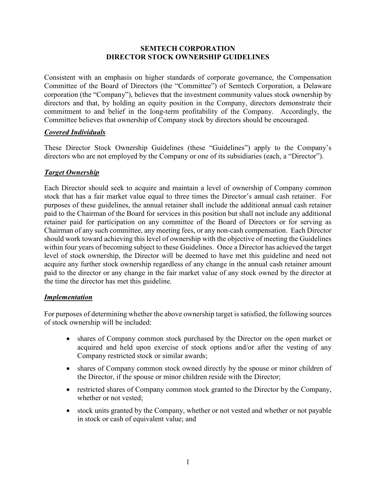## **SEMTECH CORPORATION DIRECTOR STOCK OWNERSHIP GUIDELINES**

Consistent with an emphasis on higher standards of corporate governance, the Compensation Committee of the Board of Directors (the "Committee") of Semtech Corporation, a Delaware corporation (the "Company"), believes that the investment community values stock ownership by directors and that, by holding an equity position in the Company, directors demonstrate their commitment to and belief in the long-term profitability of the Company. Accordingly, the Committee believes that ownership of Company stock by directors should be encouraged.

# *Covered Individuals*

These Director Stock Ownership Guidelines (these "Guidelines") apply to the Company's directors who are not employed by the Company or one of its subsidiaries (each, a "Director").

## *Target Ownership*

Each Director should seek to acquire and maintain a level of ownership of Company common stock that has a fair market value equal to three times the Director's annual cash retainer. For purposes of these guidelines, the annual retainer shall include the additional annual cash retainer paid to the Chairman of the Board for services in this position but shall not include any additional retainer paid for participation on any committee of the Board of Directors or for serving as Chairman of any such committee, any meeting fees, or any non-cash compensation. Each Director should work toward achieving this level of ownership with the objective of meeting the Guidelines within four years of becoming subject to these Guidelines. Once a Director has achieved the target level of stock ownership, the Director will be deemed to have met this guideline and need not acquire any further stock ownership regardless of any change in the annual cash retainer amount paid to the director or any change in the fair market value of any stock owned by the director at the time the director has met this guideline.

## *Implementation*

For purposes of determining whether the above ownership target is satisfied, the following sources of stock ownership will be included:

- shares of Company common stock purchased by the Director on the open market or acquired and held upon exercise of stock options and/or after the vesting of any Company restricted stock or similar awards;
- shares of Company common stock owned directly by the spouse or minor children of the Director, if the spouse or minor children reside with the Director;
- restricted shares of Company common stock granted to the Director by the Company, whether or not vested;
- stock units granted by the Company, whether or not vested and whether or not payable in stock or cash of equivalent value; and